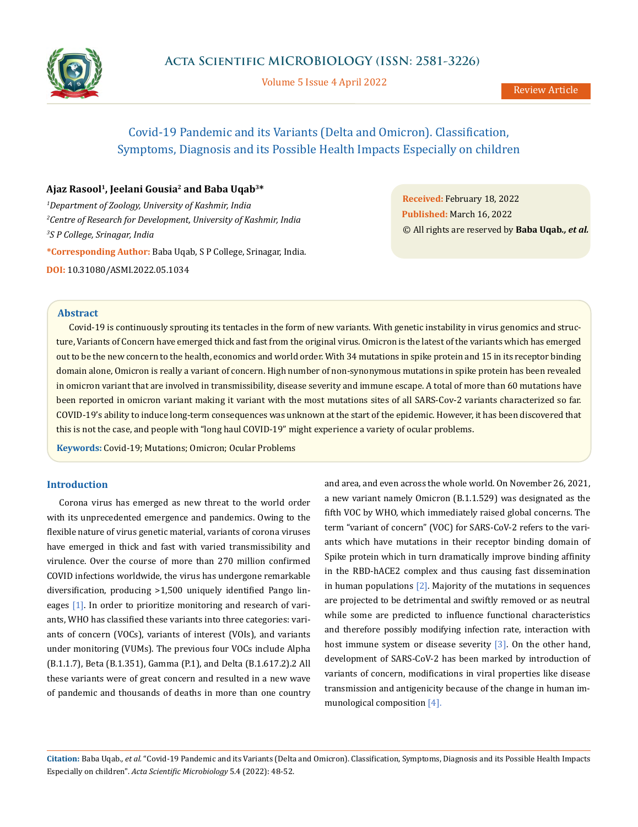

Volume 5 Issue 4 April 2022

# Covid-19 Pandemic and its Variants (Delta and Omicron). Classification, Symptoms, Diagnosis and its Possible Health Impacts Especially on children

# **Ajaz Rasool1, Jeelani Gousia2 and Baba Uqab3\***

*1 Department of Zoology, University of Kashmir, India 2 Centre of Research for Development, University of Kashmir, India 3 S P College, Srinagar, India*

**\*Corresponding Author:** Baba Uqab, S P College, Srinagar, India.

**DOI:** [10.31080/ASMI.2022.05.1034](http://actascientific.com/ASMI/pdf/ASMI-05-1034.pdf)

**Received:** February 18, 2022 **Published:** March 16, 2022 © All rights are reserved by **Baba Uqab***., et al.*

## **Abstract**

Covid-19 is continuously sprouting its tentacles in the form of new variants. With genetic instability in virus genomics and structure, Variants of Concern have emerged thick and fast from the original virus. Omicron is the latest of the variants which has emerged out to be the new concern to the health, economics and world order. With 34 mutations in spike protein and 15 in its receptor binding domain alone, Omicron is really a variant of concern. High number of non-synonymous mutations in spike protein has been revealed in omicron variant that are involved in transmissibility, disease severity and immune escape. A total of more than 60 mutations have been reported in omicron variant making it variant with the most mutations sites of all SARS-Cov-2 variants characterized so far. COVID-19's ability to induce long-term consequences was unknown at the start of the epidemic. However, it has been discovered that this is not the case, and people with "long haul COVID-19" might experience a variety of ocular problems.

**Keywords:** Covid-19; Mutations; Omicron; Ocular Problems

### **Introduction**

Corona virus has emerged as new threat to the world order with its unprecedented emergence and pandemics. Owing to the flexible nature of virus genetic material, variants of corona viruses have emerged in thick and fast with varied transmissibility and virulence. Over the course of more than 270 million confirmed COVID infections worldwide, the virus has undergone remarkable diversification, producing >1,500 uniquely identified Pango lineages [1]. In order to prioritize monitoring and research of variants, WHO has classified these variants into three categories: variants of concern (VOCs), variants of interest (VOIs), and variants under monitoring (VUMs). The previous four VOCs include Alpha (B.1.1.7), Beta (B.1.351), Gamma (P.1), and Delta (B.1.617.2).2 All these variants were of great concern and resulted in a new wave of pandemic and thousands of deaths in more than one country and area, and even across the whole world. On November 26, 2021, a new variant namely Omicron (B.1.1.529) was designated as the fifth VOC by WHO, which immediately raised global concerns. The term "variant of concern" (VOC) for SARS-CoV-2 refers to the variants which have mutations in their receptor binding domain of Spike protein which in turn dramatically improve binding affinity in the RBD-hACE2 complex and thus causing fast dissemination in human populations  $[2]$ . Majority of the mutations in sequences are projected to be detrimental and swiftly removed or as neutral while some are predicted to influence functional characteristics and therefore possibly modifying infection rate, interaction with host immune system or disease severity [3]. On the other hand, development of SARS-CoV-2 has been marked by introduction of variants of concern, modifications in viral properties like disease transmission and antigenicity because of the change in human immunological composition [4].

**Citation:** Baba Uqab*., et al.* "Covid-19 Pandemic and its Variants (Delta and Omicron). Classification, Symptoms, Diagnosis and its Possible Health Impacts Especially on children". *Acta Scientific Microbiology* 5.4 (2022): 48-52.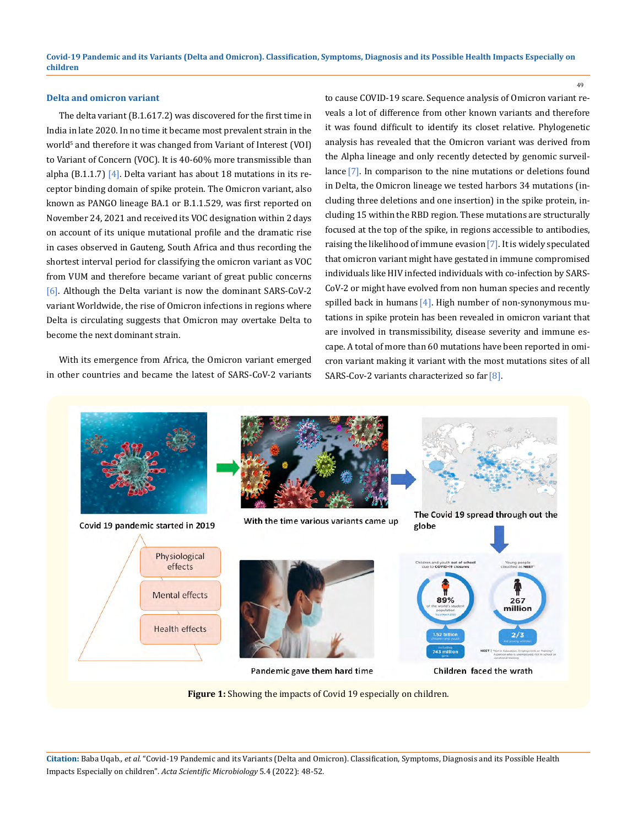**children**

## **Delta and omicron variant**

The delta variant (B.1.617.2) was discovered for the first time in India in late 2020. In no time it became most prevalent strain in the world<sup>5</sup> and therefore it was changed from Variant of Interest (VOI) to Variant of Concern (VOC). It is 40-60% more transmissible than alpha (B.1.1.7) [4]. Delta variant has about 18 mutations in its receptor binding domain of spike protein. The Omicron variant, also known as PANGO lineage BA.1 or B.1.1.529, was first reported on November 24, 2021 and received its VOC designation within 2 days on account of its unique mutational profile and the dramatic rise in cases observed in Gauteng, South Africa and thus recording the shortest interval period for classifying the omicron variant as VOC from VUM and therefore became variant of great public concerns [6]. Although the Delta variant is now the dominant SARS-CoV-2 variant Worldwide, the rise of Omicron infections in regions where Delta is circulating suggests that Omicron may overtake Delta to become the next dominant strain.

With its emergence from Africa, the Omicron variant emerged in other countries and became the latest of SARS-CoV-2 variants to cause COVID-19 scare. Sequence analysis of Omicron variant reveals a lot of difference from other known variants and therefore it was found difficult to identify its closet relative. Phylogenetic analysis has revealed that the Omicron variant was derived from the Alpha lineage and only recently detected by genomic surveillance [7]. In comparison to the nine mutations or deletions found in Delta, the Omicron lineage we tested harbors 34 mutations (including three deletions and one insertion) in the spike protein, including 15 within the RBD region. These mutations are structurally focused at the top of the spike, in regions accessible to antibodies, raising the likelihood of immune evasion[7]. It is widely speculated that omicron variant might have gestated in immune compromised individuals like HIV infected individuals with co-infection by SARS-CoV-2 or might have evolved from non human species and recently spilled back in humans  $[4]$ . High number of non-synonymous mutations in spike protein has been revealed in omicron variant that are involved in transmissibility, disease severity and immune escape. A total of more than 60 mutations have been reported in omicron variant making it variant with the most mutations sites of all SARS-Cov-2 variants characterized so far [8].

49



**Covid-19 Pandemic and its Variants (Delta and Omicron). Classification, Symptoms, Diagnosis and its Possible Health Impacts Especially on** 

**Citation:** Baba Uqab*., et al.* "Covid-19 Pandemic and its Variants (Delta and Omicron). Classification, Symptoms, Diagnosis and its Possible Health Impacts Especially on children". *Acta Scientific Microbiology* 5.4 (2022): 48-52.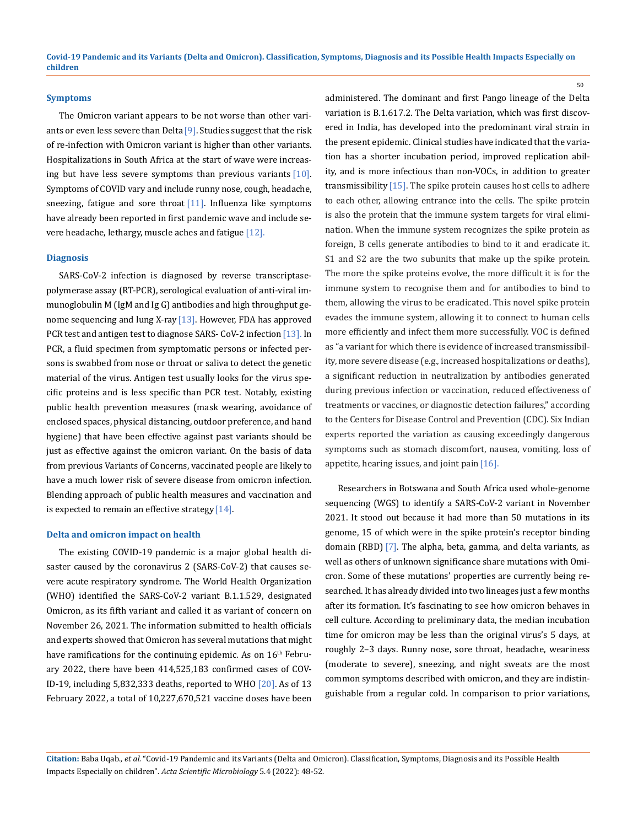#### **Symptoms**

The Omicron variant appears to be not worse than other variants or even less severe than Delta<sup>[9]</sup>. Studies suggest that the risk of re-infection with Omicron variant is higher than other variants. Hospitalizations in South Africa at the start of wave were increasing but have less severe symptoms than previous variants  $[10]$ . Symptoms of COVID vary and include runny nose, cough, headache, sneezing, fatigue and sore throat  $[11]$ . Influenza like symptoms have already been reported in first pandemic wave and include severe headache, lethargy, muscle aches and fatigue [12].

#### **Diagnosis**

SARS-CoV-2 infection is diagnosed by reverse transcriptasepolymerase assay (RT-PCR), serological evaluation of anti-viral immunoglobulin M (IgM and Ig G) antibodies and high throughput genome sequencing and lung X-ray  $[13]$ . However, FDA has approved PCR test and antigen test to diagnose SARS- CoV-2 infection [13]. In PCR, a fluid specimen from symptomatic persons or infected persons is swabbed from nose or throat or saliva to detect the genetic material of the virus. Antigen test usually looks for the virus specific proteins and is less specific than PCR test. Notably, existing public health prevention measures (mask wearing, avoidance of enclosed spaces, physical distancing, outdoor preference, and hand hygiene) that have been effective against past variants should be just as effective against the omicron variant. On the basis of data from previous Variants of Concerns, vaccinated people are likely to have a much lower risk of severe disease from omicron infection. Blending approach of public health measures and vaccination and is expected to remain an effective strategy  $[14]$ .

## **Delta and omicron impact on health**

The existing COVID-19 pandemic is a major global health disaster caused by the coronavirus 2 (SARS-CoV-2) that causes severe acute respiratory syndrome. The World Health Organization (WHO) identified the SARS-CoV-2 variant B.1.1.529, designated Omicron, as its fifth variant and called it as variant of concern on November 26, 2021. The information submitted to health officials and experts showed that Omicron has several mutations that might have ramifications for the continuing epidemic. As on 16<sup>th</sup> February 2022, there have been 414,525,183 confirmed cases of COV-ID-19, including 5,832,333 deaths, reported to WHO [20]. As of 13 February 2022, a total of 10,227,670,521 vaccine doses have been administered. The dominant and first Pango lineage of the Delta variation is B.1.617.2. The Delta variation, which was first discovered in India, has developed into the predominant viral strain in the present epidemic. Clinical studies have indicated that the variation has a shorter incubation period, improved replication ability, and is more infectious than non-VOCs, in addition to greater transmissibility  $[15]$ . The spike protein causes host cells to adhere to each other, allowing entrance into the cells. The spike protein is also the protein that the immune system targets for viral elimination. When the immune system recognizes the spike protein as foreign, B cells generate antibodies to bind to it and eradicate it. S1 and S2 are the two subunits that make up the spike protein. The more the spike proteins evolve, the more difficult it is for the immune system to recognise them and for antibodies to bind to them, allowing the virus to be eradicated. This novel spike protein evades the immune system, allowing it to connect to human cells more efficiently and infect them more successfully. VOC is defined as "a variant for which there is evidence of increased transmissibility, more severe disease (e.g., increased hospitalizations or deaths), a significant reduction in neutralization by antibodies generated during previous infection or vaccination, reduced effectiveness of treatments or vaccines, or diagnostic detection failures," according to the Centers for Disease Control and Prevention (CDC). Six Indian experts reported the variation as causing exceedingly dangerous symptoms such as stomach discomfort, nausea, vomiting, loss of appetite, hearing issues, and joint pain[16].

50

Researchers in Botswana and South Africa used whole-genome sequencing (WGS) to identify a SARS-CoV-2 variant in November 2021. It stood out because it had more than 50 mutations in its genome, 15 of which were in the spike protein's receptor binding domain (RBD) $[7]$ . The alpha, beta, gamma, and delta variants, as well as others of unknown significance share mutations with Omicron. Some of these mutations' properties are currently being researched. It has already divided into two lineages just a few months after its formation. It's fascinating to see how omicron behaves in cell culture. According to preliminary data, the median incubation time for omicron may be less than the original virus's 5 days, at roughly 2–3 days. Runny nose, sore throat, headache, weariness (moderate to severe), sneezing, and night sweats are the most common symptoms described with omicron, and they are indistinguishable from a regular cold. In comparison to prior variations,

**Citation:** Baba Uqab*., et al.* "Covid-19 Pandemic and its Variants (Delta and Omicron). Classification, Symptoms, Diagnosis and its Possible Health Impacts Especially on children". *Acta Scientific Microbiology* 5.4 (2022): 48-52.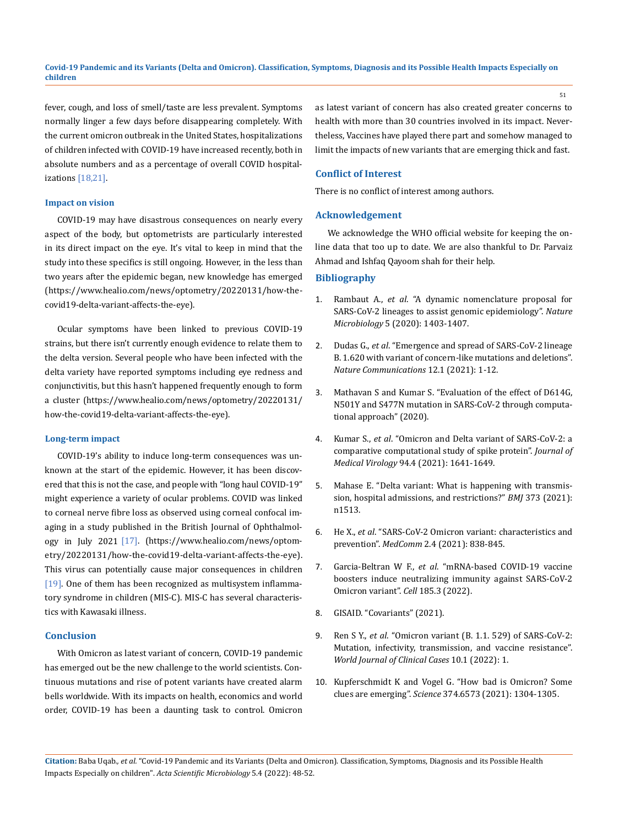# **Covid-19 Pandemic and its Variants (Delta and Omicron). Classification, Symptoms, Diagnosis and its Possible Health Impacts Especially on children**

fever, cough, and loss of smell/taste are less prevalent. Symptoms normally linger a few days before disappearing completely. With the current omicron outbreak in the United States, hospitalizations of children infected with COVID-19 have increased recently, both in absolute numbers and as a percentage of overall COVID hospitalizations [18,21].

#### **Impact on vision**

COVID-19 may have disastrous consequences on nearly every aspect of the body, but optometrists are particularly interested in its direct impact on the eye. It's vital to keep in mind that the study into these specifics is still ongoing. However, in the less than two years after the epidemic began, new knowledge has emerged (https://www.healio.com/news/optometry/20220131/how-thecovid19-delta-variant-affects-the-eye).

Ocular symptoms have been linked to previous COVID-19 strains, but there isn't currently enough evidence to relate them to the delta version. Several people who have been infected with the delta variety have reported symptoms including eye redness and conjunctivitis, but this hasn't happened frequently enough to form a cluster (https://www.healio.com/news/optometry/20220131/ how-the-covid19-delta-variant-affects-the-eye).

#### **Long-term impact**

COVID-19's ability to induce long-term consequences was unknown at the start of the epidemic. However, it has been discovered that this is not the case, and people with "long haul COVID-19" might experience a variety of ocular problems. COVID was linked to corneal nerve fibre loss as observed using corneal confocal imaging in a study published in the British Journal of Ophthalmology in July 2021 [17]. (https://www.healio.com/news/optometry/20220131/how-the-covid19-delta-variant-affects-the-eye). This virus can potentially cause major consequences in children [19]. One of them has been recognized as multisystem inflammatory syndrome in children (MIS-C). MIS-C has several characteristics with Kawasaki illness.

#### **Conclusion**

With Omicron as latest variant of concern, COVID-19 pandemic has emerged out be the new challenge to the world scientists. Continuous mutations and rise of potent variants have created alarm bells worldwide. With its impacts on health, economics and world order, COVID-19 has been a daunting task to control. Omicron as latest variant of concern has also created greater concerns to health with more than 30 countries involved in its impact. Nevertheless, Vaccines have played there part and somehow managed to limit the impacts of new variants that are emerging thick and fast.

#### **Conflict of Interest**

There is no conflict of interest among authors.

#### **Acknowledgement**

We acknowledge the WHO official website for keeping the online data that too up to date. We are also thankful to Dr. Parvaiz Ahmad and Ishfaq Qayoom shah for their help.

# **Bibliography**

- 1. Rambaut A., *et al*[. "A dynamic nomenclature proposal for](https://www.nature.com/articles/s41564-020-0770-5)  [SARS-CoV-2 lineages to assist genomic epidemiology".](https://www.nature.com/articles/s41564-020-0770-5) *Nature Microbiology* [5 \(2020\): 1403-1407.](https://www.nature.com/articles/s41564-020-0770-5)
- 2. Dudas G., *et al*[. "Emergence and spread of SARS-CoV-2 lineage](https://www.nature.com/articles/s41467-021-26055-8)  [B. 1.620 with variant of concern-like mutations and deletions".](https://www.nature.com/articles/s41467-021-26055-8)  *[Nature Communications](https://www.nature.com/articles/s41467-021-26055-8)* 12.1 (2021): 1-12.
- 3. [Mathavan S and Kumar S. "Evaluation of the effect of D614G,](https://www.preprints.org/manuscript/202012.0710/v1)  [N501Y and S477N mutation in SARS-CoV-2 through computa](https://www.preprints.org/manuscript/202012.0710/v1)[tional approach" \(2020\).](https://www.preprints.org/manuscript/202012.0710/v1)
- 4. Kumar S., *et al*. "Omicron and Delta variant of SARS‐CoV‐2: a comparative computational study of spike protein". *Journal of Medical Virology* 94.4 (2021): 1641-1649.
- 5. [Mahase E. "Delta variant: What is happening with transmis](https://www.bmj.com/content/373/bmj.n1513)[sion, hospital admissions, and restrictions?"](https://www.bmj.com/content/373/bmj.n1513) *BMJ* 373 (2021): [n1513.](https://www.bmj.com/content/373/bmj.n1513)
- 6. He X., *et al*[. "SARS‐CoV‐2 Omicron variant: characteristics and](https://onlinelibrary.wiley.com/doi/10.1002/mco2.110)  prevention". *MedComm* [2.4 \(2021\): 838-845.](https://onlinelibrary.wiley.com/doi/10.1002/mco2.110)
- 7. Garcia-Beltran W F., *et al*. "mRNA-based COVID-19 vaccine boosters induce neutralizing immunity against SARS-CoV-2 Omicron variant". *Cell* 185.3 (2022).
- 8. [GISAID. "Covariants" \(2021\).](https://covariants.org/variants/21K.Omicron)
- 9. Ren S Y., *et al*. "Omicron variant (B. 1.1. 529) of SARS-CoV-2: Mutation, infectivity, transmission, and vaccine resistance". *World Journal of Clinical Cases* 10.1 (2022): 1.
- 10. [Kupferschmidt K and Vogel G. "How bad is Omicron? Some](https://pubmed.ncbi.nlm.nih.gov/34882443/)  clues are emerging". *Science* [374.6573 \(2021\): 1304-1305.](https://pubmed.ncbi.nlm.nih.gov/34882443/)

**Citation:** Baba Uqab*., et al.* "Covid-19 Pandemic and its Variants (Delta and Omicron). Classification, Symptoms, Diagnosis and its Possible Health Impacts Especially on children". *Acta Scientific Microbiology* 5.4 (2022): 48-52.

51